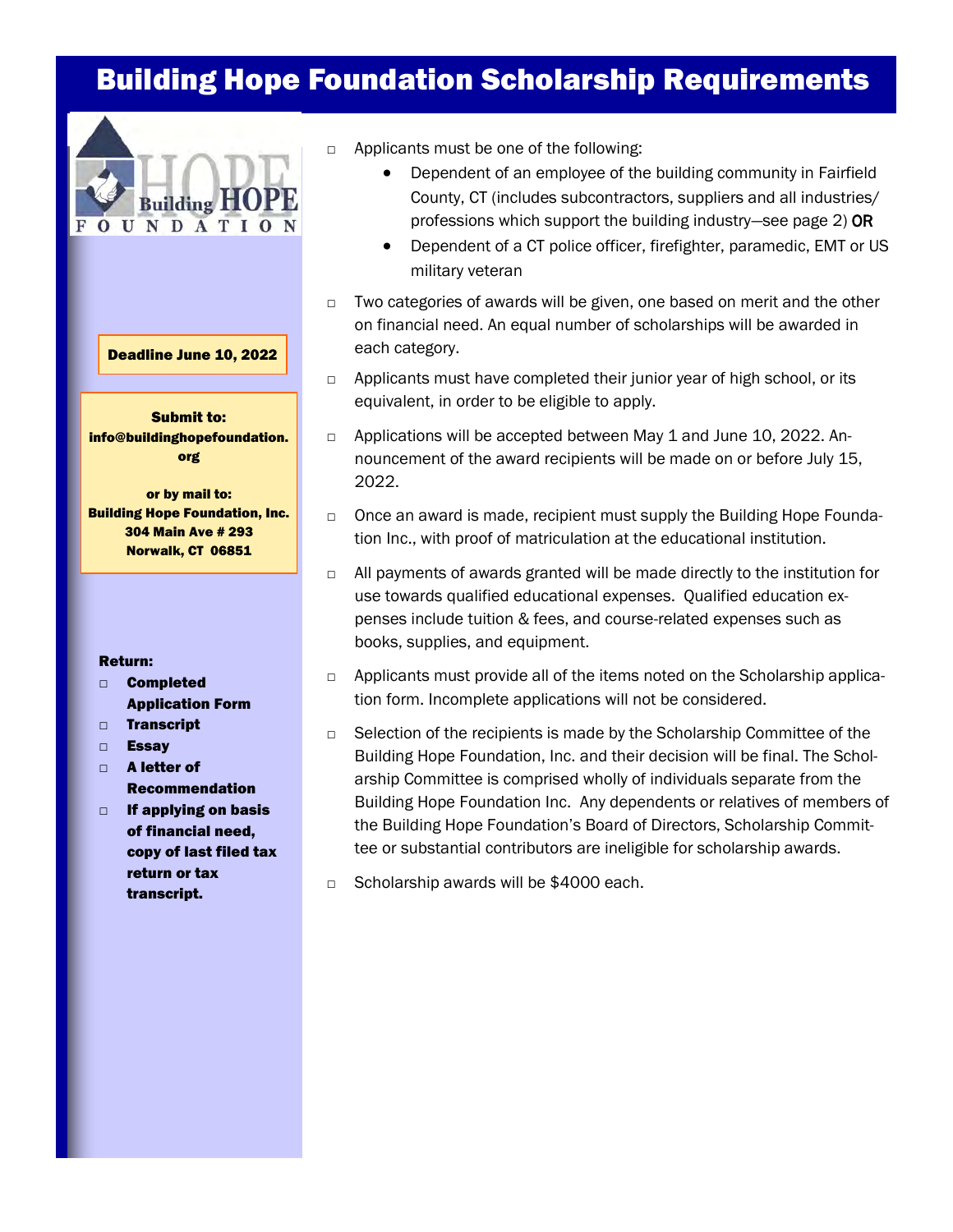# Building Hope Foundation Scholarship Requirements



#### Deadline June 10, 2022

Submit to: info@buildinghopefoundation. org

or by mail to: Building Hope Foundation, Inc. 304 Main Ave # 293 Norwalk, CT 06851

#### Return:

- □ Completed Application Form
- □ Transcript
- □ Essay
- □ A letter of Recommendation
- □ If applying on basis of financial need, copy of last filed tax return or tax transcript.
- □ Applicants must be one of the following:
	- Dependent of an employee of the building community in Fairfield County, CT (includes subcontractors, suppliers and all industries/ professions which support the building industry—see page 2) OR
	- Dependent of a CT police officer, firefighter, paramedic, EMT or US military veteran
- $\Box$  Two categories of awards will be given, one based on merit and the other on financial need. An equal number of scholarships will be awarded in each category.
- □ Applicants must have completed their junior year of high school, or its equivalent, in order to be eligible to apply.
- □ Applications will be accepted between May 1 and June 10, 2022. Announcement of the award recipients will be made on or before July 15, 2022.
- $\Box$  Once an award is made, recipient must supply the Building Hope Foundation Inc., with proof of matriculation at the educational institution.
- □ All payments of awards granted will be made directly to the institution for use towards qualified educational expenses. Qualified education expenses include tuition & fees, and course-related expenses such as books, supplies, and equipment.
- □ Applicants must provide all of the items noted on the Scholarship application form. Incomplete applications will not be considered.
- □ Selection of the recipients is made by the Scholarship Committee of the Building Hope Foundation, Inc. and their decision will be final. The Scholarship Committee is comprised wholly of individuals separate from the Building Hope Foundation Inc. Any dependents or relatives of members of the Building Hope Foundation's Board of Directors, Scholarship Committee or substantial contributors are ineligible for scholarship awards.
- □ Scholarship awards will be \$4000 each.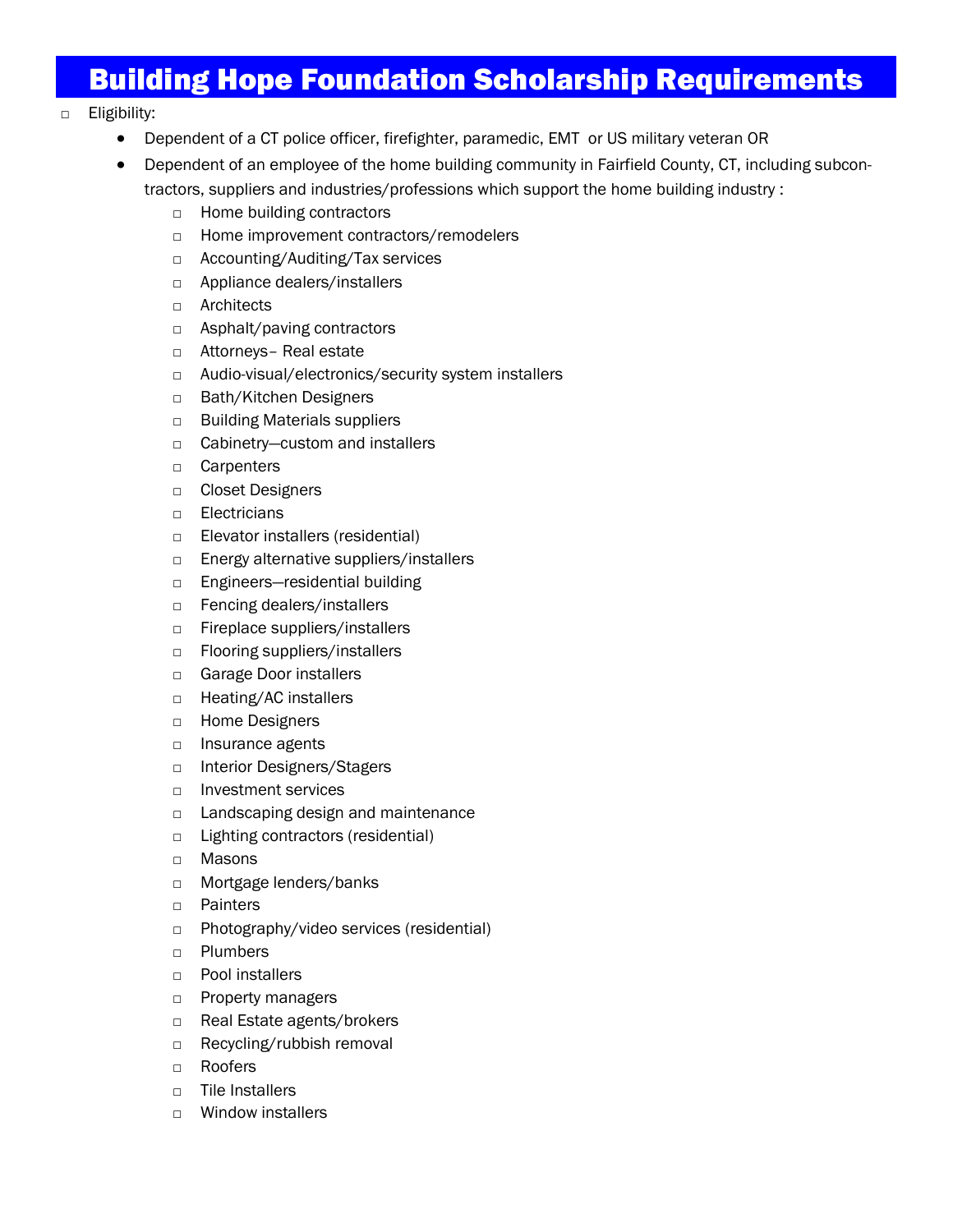# Building Hope Foundation Scholarship Requirements

### □ Eligibility:

- Dependent of a CT police officer, firefighter, paramedic, EMT or US military veteran OR
- Dependent of an employee of the home building community in Fairfield County, CT, including subcontractors, suppliers and industries/professions which support the home building industry :
	- □ Home building contractors
	- □ Home improvement contractors/remodelers
	- □ Accounting/Auditing/Tax services
	- □ Appliance dealers/installers
	- □ Architects
	- □ Asphalt/paving contractors
	- □ Attorneys- Real estate
	- □ Audio-visual/electronics/security system installers
	- □ Bath/Kitchen Designers
	- □ Building Materials suppliers
	- □ Cabinetry–custom and installers
	- □ Carpenters
	- □ Closet Designers
	- □ Electricians
	- □ Elevator installers (residential)
	- □ Energy alternative suppliers/installers
	- □ Engineers—residential building
	- □ Fencing dealers/installers
	- □ Fireplace suppliers/installers
	- □ Flooring suppliers/installers
	- □ Garage Door installers
	- □ Heating/AC installers
	- □ Home Designers
	- □ Insurance agents
	- □ Interior Designers/Stagers
	- □ Investment services
	- □ Landscaping design and maintenance
	- □ Lighting contractors (residential)
	- □ Masons
	- □ Mortgage lenders/banks
	- □ Painters
	- □ Photography/video services (residential)
	- □ Plumbers
	- □ Pool installers
	- □ Property managers
	- □ Real Estate agents/brokers
	- □ Recycling/rubbish removal
	- □ Roofers
	- □ Tile Installers
	- □ Window installers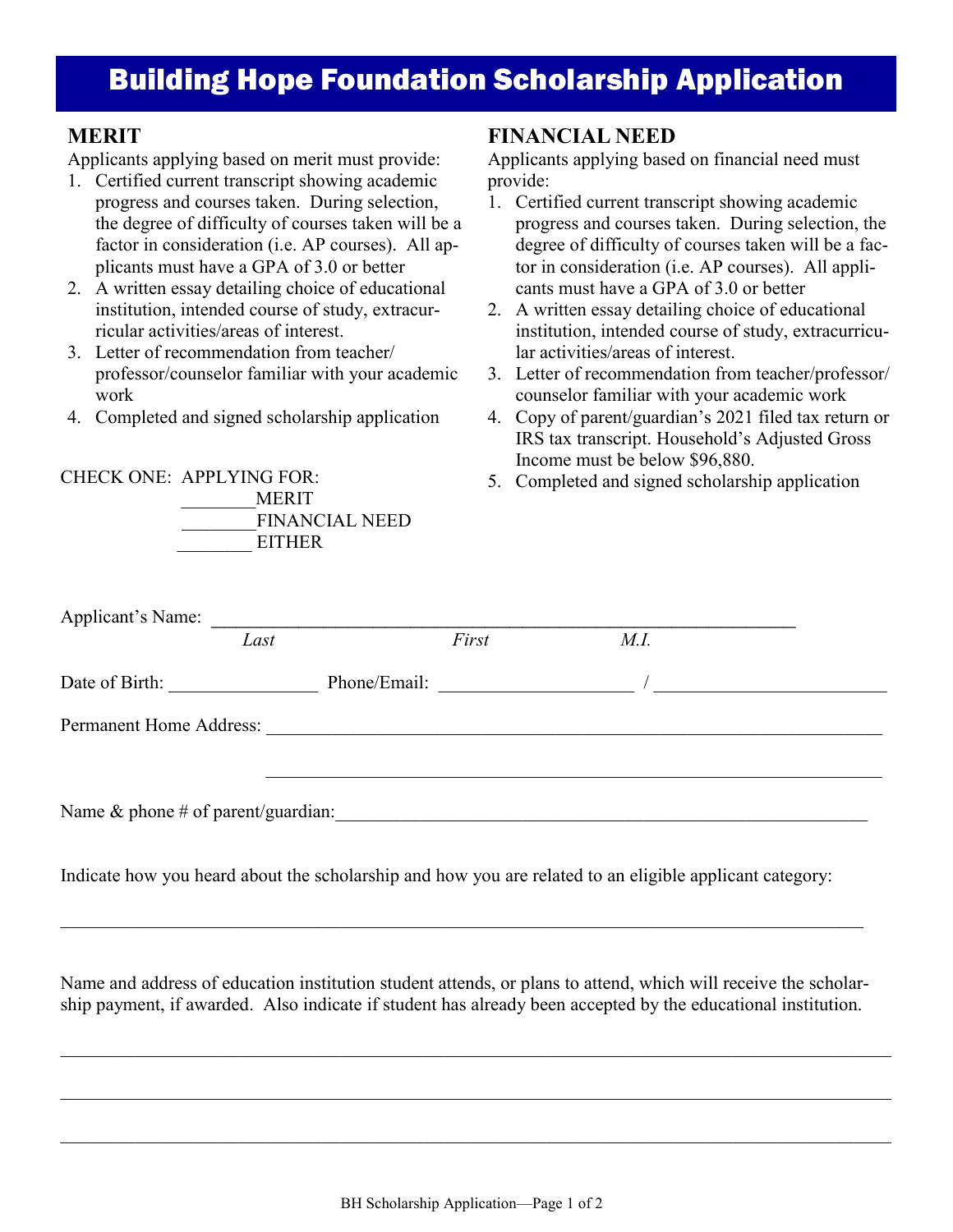# Building Hope Foundation Scholarship Application

## **MERIT**

Applicants applying based on merit must provide:

- 1. Certified current transcript showing academic progress and courses taken. During selection, the degree of difficulty of courses taken will be a factor in consideration (i.e. AP courses). All applicants must have a GPA of 3.0 or better
- 2. A written essay detailing choice of educational institution, intended course of study, extracurricular activities/areas of interest.
- 3. Letter of recommendation from teacher/ professor/counselor familiar with your academic work

\_\_\_\_\_\_\_\_MERIT

EITHER

FINANCIAL NEED

4. Completed and signed scholarship application

CHECK ONE: APPLYING FOR:

### **FINANCIAL NEED**

Applicants applying based on financial need must provide:

- 1. Certified current transcript showing academic progress and courses taken. During selection, the degree of difficulty of courses taken will be a factor in consideration (i.e. AP courses). All applicants must have a GPA of 3.0 or better
- 2. A written essay detailing choice of educational institution, intended course of study, extracurricular activities/areas of interest.
- 3. Letter of recommendation from teacher/professor/ counselor familiar with your academic work
- 4. Copy of parent/guardian's 2021 filed tax return or IRS tax transcript. Household's Adjusted Gross Income must be below \$96,880.
- 5. Completed and signed scholarship application

|                                       | Last | First        | M.I. |  |
|---------------------------------------|------|--------------|------|--|
| Date of Birth:                        |      | Phone/Email: |      |  |
| Permanent Home Address:               |      |              |      |  |
|                                       |      |              |      |  |
| Name $\&$ phone # of parent/guardian: |      |              |      |  |

Indicate how you heard about the scholarship and how you are related to an eligible applicant category:

Name and address of education institution student attends, or plans to attend, which will receive the scholarship payment, if awarded. Also indicate if student has already been accepted by the educational institution.

 $\_$  , and the contribution of the contribution of the contribution of the contribution of the contribution of  $\mathcal{L}_\text{max}$ 

 $\mathcal{L}_\mathcal{L} = \mathcal{L}_\mathcal{L} = \mathcal{L}_\mathcal{L} = \mathcal{L}_\mathcal{L} = \mathcal{L}_\mathcal{L} = \mathcal{L}_\mathcal{L} = \mathcal{L}_\mathcal{L} = \mathcal{L}_\mathcal{L} = \mathcal{L}_\mathcal{L} = \mathcal{L}_\mathcal{L} = \mathcal{L}_\mathcal{L} = \mathcal{L}_\mathcal{L} = \mathcal{L}_\mathcal{L} = \mathcal{L}_\mathcal{L} = \mathcal{L}_\mathcal{L} = \mathcal{L}_\mathcal{L} = \mathcal{L}_\mathcal{L}$ 

 $\_$  , and the contribution of the contribution of the contribution of the contribution of the contribution of  $\mathcal{L}_\text{max}$ 

 $\_$  , and the set of the set of the set of the set of the set of the set of the set of the set of the set of the set of the set of the set of the set of the set of the set of the set of the set of the set of the set of th